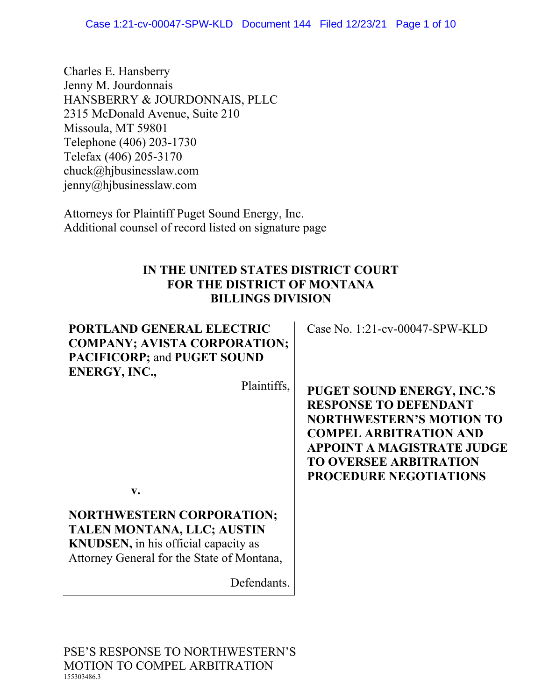Charles E. Hansberry Jenny M. Jourdonnais HANSBERRY & JOURDONNAIS, PLLC 2315 McDonald Avenue, Suite 210 Missoula, MT 59801 Telephone (406) 203-1730 Telefax (406) 205-3170 chuck@hjbusinesslaw.com jenny@hjbusinesslaw.com

Attorneys for Plaintiff Puget Sound Energy, Inc. Additional counsel of record listed on signature page

### **IN THE UNITED STATES DISTRICT COURT FOR THE DISTRICT OF MONTANA BILLINGS DIVISION**

# **PORTLAND GENERAL ELECTRIC COMPANY; AVISTA CORPORATION; PACIFICORP;** and **PUGET SOUND ENERGY, INC.,**

Plaintiffs,

**v.**

**NORTHWESTERN CORPORATION; TALEN MONTANA, LLC; AUSTIN KNUDSEN,** in his official capacity as Attorney General for the State of Montana,

Defendants.

PSE'S RESPONSE TO NORTHWESTERN'S MOTION TO COMPEL ARBITRATION 155303486.3

Case No. 1:21-cv-00047-SPW-KLD

**PUGET SOUND ENERGY, INC.'S RESPONSE TO DEFENDANT NORTHWESTERN'S MOTION TO COMPEL ARBITRATION AND APPOINT A MAGISTRATE JUDGE TO OVERSEE ARBITRATION PROCEDURE NEGOTIATIONS**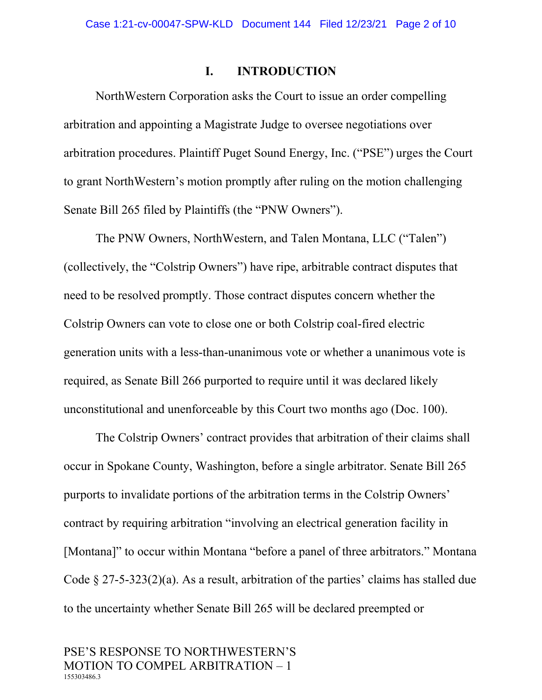#### **I. INTRODUCTION**

NorthWestern Corporation asks the Court to issue an order compelling arbitration and appointing a Magistrate Judge to oversee negotiations over arbitration procedures. Plaintiff Puget Sound Energy, Inc. ("PSE") urges the Court to grant NorthWestern's motion promptly after ruling on the motion challenging Senate Bill 265 filed by Plaintiffs (the "PNW Owners").

The PNW Owners, NorthWestern, and Talen Montana, LLC ("Talen") (collectively, the "Colstrip Owners") have ripe, arbitrable contract disputes that need to be resolved promptly. Those contract disputes concern whether the Colstrip Owners can vote to close one or both Colstrip coal-fired electric generation units with a less-than-unanimous vote or whether a unanimous vote is required, as Senate Bill 266 purported to require until it was declared likely unconstitutional and unenforceable by this Court two months ago (Doc. 100).

The Colstrip Owners' contract provides that arbitration of their claims shall occur in Spokane County, Washington, before a single arbitrator. Senate Bill 265 purports to invalidate portions of the arbitration terms in the Colstrip Owners' contract by requiring arbitration "involving an electrical generation facility in [Montana]" to occur within Montana "before a panel of three arbitrators." Montana Code  $\S 27-5-323(2)(a)$ . As a result, arbitration of the parties' claims has stalled due to the uncertainty whether Senate Bill 265 will be declared preempted or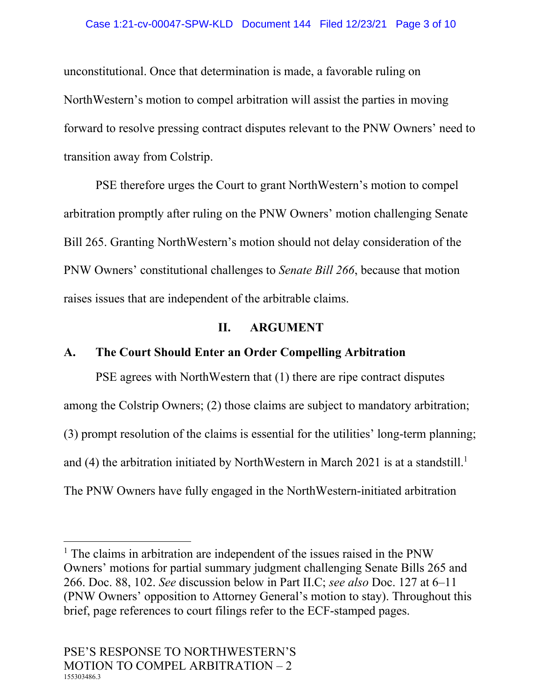#### Case 1:21-cv-00047-SPW-KLD Document 144 Filed 12/23/21 Page 3 of 10

unconstitutional. Once that determination is made, a favorable ruling on NorthWestern's motion to compel arbitration will assist the parties in moving forward to resolve pressing contract disputes relevant to the PNW Owners' need to transition away from Colstrip.

PSE therefore urges the Court to grant NorthWestern's motion to compel arbitration promptly after ruling on the PNW Owners' motion challenging Senate Bill 265. Granting NorthWestern's motion should not delay consideration of the PNW Owners' constitutional challenges to *Senate Bill 266*, because that motion raises issues that are independent of the arbitrable claims.

#### **II. ARGUMENT**

#### **A. The Court Should Enter an Order Compelling Arbitration**

PSE agrees with NorthWestern that (1) there are ripe contract disputes among the Colstrip Owners; (2) those claims are subject to mandatory arbitration; (3) prompt resolution of the claims is essential for the utilities' long-term planning; and (4) the arbitration initiated by NorthWestern in March 2021 is at a standstill.<sup>1</sup> The PNW Owners have fully engaged in the NorthWestern-initiated arbitration

<sup>&</sup>lt;sup>1</sup> The claims in arbitration are independent of the issues raised in the PNW Owners' motions for partial summary judgment challenging Senate Bills 265 and 266. Doc. 88, 102. *See* discussion below in Part II.C; *see also* Doc. 127 at 6–11 (PNW Owners' opposition to Attorney General's motion to stay). Throughout this brief, page references to court filings refer to the ECF-stamped pages.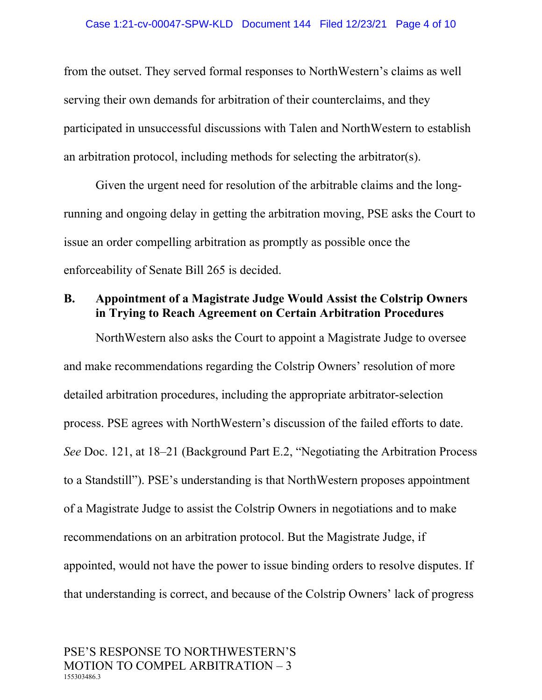from the outset. They served formal responses to NorthWestern's claims as well serving their own demands for arbitration of their counterclaims, and they participated in unsuccessful discussions with Talen and NorthWestern to establish an arbitration protocol, including methods for selecting the arbitrator(s).

Given the urgent need for resolution of the arbitrable claims and the longrunning and ongoing delay in getting the arbitration moving, PSE asks the Court to issue an order compelling arbitration as promptly as possible once the enforceability of Senate Bill 265 is decided.

### **B. Appointment of a Magistrate Judge Would Assist the Colstrip Owners in Trying to Reach Agreement on Certain Arbitration Procedures**

NorthWestern also asks the Court to appoint a Magistrate Judge to oversee and make recommendations regarding the Colstrip Owners' resolution of more detailed arbitration procedures, including the appropriate arbitrator-selection process. PSE agrees with NorthWestern's discussion of the failed efforts to date. *See* Doc. 121, at 18–21 (Background Part E.2, "Negotiating the Arbitration Process to a Standstill"). PSE's understanding is that NorthWestern proposes appointment of a Magistrate Judge to assist the Colstrip Owners in negotiations and to make recommendations on an arbitration protocol. But the Magistrate Judge, if appointed, would not have the power to issue binding orders to resolve disputes. If that understanding is correct, and because of the Colstrip Owners' lack of progress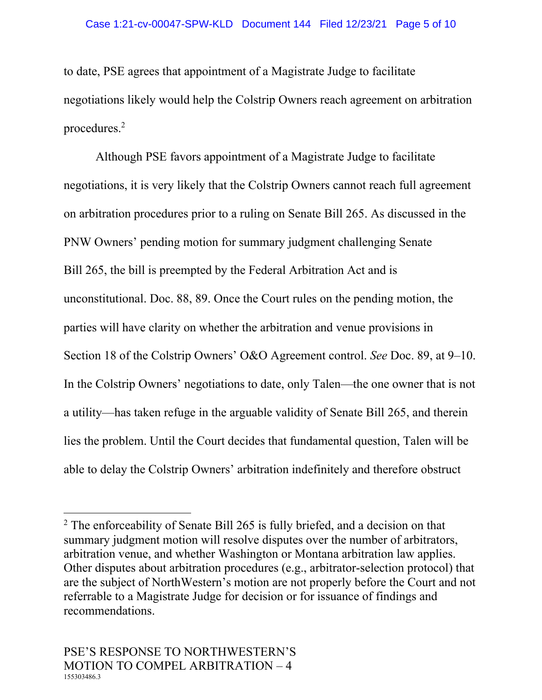to date, PSE agrees that appointment of a Magistrate Judge to facilitate negotiations likely would help the Colstrip Owners reach agreement on arbitration procedures.<sup>2</sup>

Although PSE favors appointment of a Magistrate Judge to facilitate negotiations, it is very likely that the Colstrip Owners cannot reach full agreement on arbitration procedures prior to a ruling on Senate Bill 265. As discussed in the PNW Owners' pending motion for summary judgment challenging Senate Bill 265, the bill is preempted by the Federal Arbitration Act and is unconstitutional. Doc. 88, 89. Once the Court rules on the pending motion, the parties will have clarity on whether the arbitration and venue provisions in Section 18 of the Colstrip Owners' O&O Agreement control. *See* Doc. 89, at 9–10. In the Colstrip Owners' negotiations to date, only Talen—the one owner that is not a utility—has taken refuge in the arguable validity of Senate Bill 265, and therein lies the problem. Until the Court decides that fundamental question, Talen will be able to delay the Colstrip Owners' arbitration indefinitely and therefore obstruct

<sup>&</sup>lt;sup>2</sup> The enforceability of Senate Bill 265 is fully briefed, and a decision on that summary judgment motion will resolve disputes over the number of arbitrators, arbitration venue, and whether Washington or Montana arbitration law applies. Other disputes about arbitration procedures (e.g., arbitrator-selection protocol) that are the subject of NorthWestern's motion are not properly before the Court and not referrable to a Magistrate Judge for decision or for issuance of findings and recommendations.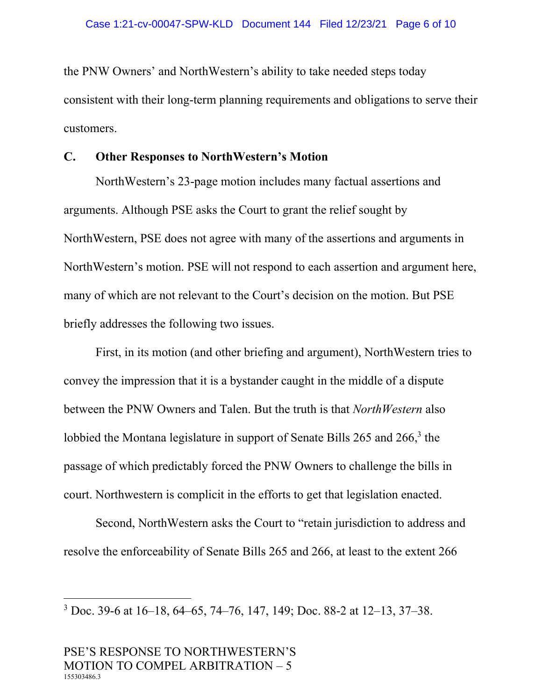the PNW Owners' and NorthWestern's ability to take needed steps today consistent with their long-term planning requirements and obligations to serve their customers.

#### **C. Other Responses to NorthWestern's Motion**

NorthWestern's 23-page motion includes many factual assertions and arguments. Although PSE asks the Court to grant the relief sought by NorthWestern, PSE does not agree with many of the assertions and arguments in NorthWestern's motion. PSE will not respond to each assertion and argument here, many of which are not relevant to the Court's decision on the motion. But PSE briefly addresses the following two issues.

First, in its motion (and other briefing and argument), NorthWestern tries to convey the impression that it is a bystander caught in the middle of a dispute between the PNW Owners and Talen. But the truth is that *NorthWestern* also lobbied the Montana legislature in support of Senate Bills 265 and 266,<sup>3</sup> the passage of which predictably forced the PNW Owners to challenge the bills in court. Northwestern is complicit in the efforts to get that legislation enacted.

Second, NorthWestern asks the Court to "retain jurisdiction to address and resolve the enforceability of Senate Bills 265 and 266, at least to the extent 266

<sup>3</sup> Doc. 39-6 at 16–18, 64–65, 74–76, 147, 149; Doc. 88-2 at 12–13, 37–38.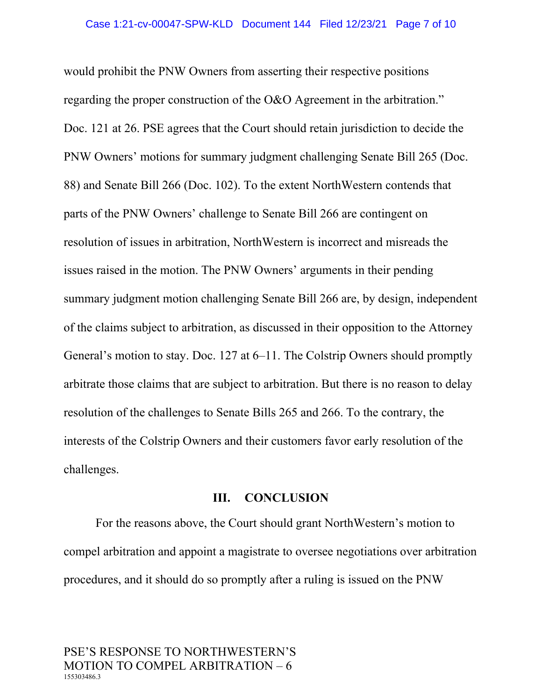would prohibit the PNW Owners from asserting their respective positions regarding the proper construction of the O&O Agreement in the arbitration." Doc. 121 at 26. PSE agrees that the Court should retain jurisdiction to decide the PNW Owners' motions for summary judgment challenging Senate Bill 265 (Doc. 88) and Senate Bill 266 (Doc. 102). To the extent NorthWestern contends that parts of the PNW Owners' challenge to Senate Bill 266 are contingent on resolution of issues in arbitration, NorthWestern is incorrect and misreads the issues raised in the motion. The PNW Owners' arguments in their pending summary judgment motion challenging Senate Bill 266 are, by design, independent of the claims subject to arbitration, as discussed in their opposition to the Attorney General's motion to stay. Doc. 127 at 6–11. The Colstrip Owners should promptly arbitrate those claims that are subject to arbitration. But there is no reason to delay resolution of the challenges to Senate Bills 265 and 266. To the contrary, the interests of the Colstrip Owners and their customers favor early resolution of the challenges.

#### **III. CONCLUSION**

For the reasons above, the Court should grant NorthWestern's motion to compel arbitration and appoint a magistrate to oversee negotiations over arbitration procedures, and it should do so promptly after a ruling is issued on the PNW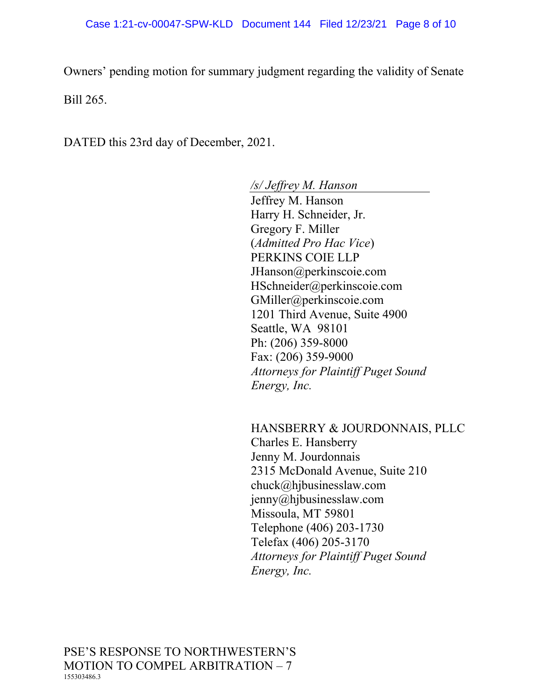Owners' pending motion for summary judgment regarding the validity of Senate Bill 265.

DATED this 23rd day of December, 2021.

#### */s/ Jeffrey M. Hanson*

Jeffrey M. Hanson Harry H. Schneider, Jr. Gregory F. Miller (*Admitted Pro Hac Vice*) PERKINS COIE LLP JHanson@perkinscoie.com HSchneider@perkinscoie.com GMiller@perkinscoie.com 1201 Third Avenue, Suite 4900 Seattle, WA 98101 Ph: (206) 359-8000 Fax: (206) 359-9000 *Attorneys for Plaintiff Puget Sound Energy, Inc.*

HANSBERRY & JOURDONNAIS, PLLC Charles E. Hansberry Jenny M. Jourdonnais 2315 McDonald Avenue, Suite 210 chuck@hjbusinesslaw.com jenny@hjbusinesslaw.com Missoula, MT 59801 Telephone (406) 203-1730 Telefax (406) 205-3170 *Attorneys for Plaintiff Puget Sound Energy, Inc.*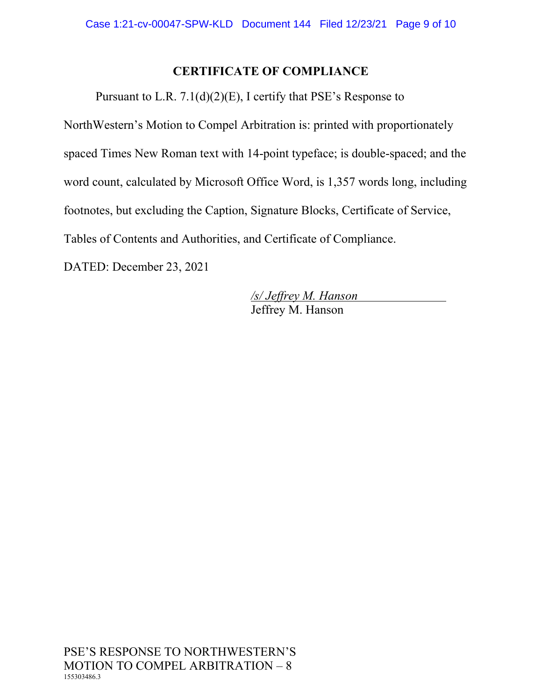# **CERTIFICATE OF COMPLIANCE**

Pursuant to L.R. 7.1(d)(2)(E), I certify that PSE's Response to

NorthWestern's Motion to Compel Arbitration is: printed with proportionately spaced Times New Roman text with 14-point typeface; is double-spaced; and the word count, calculated by Microsoft Office Word, is 1,357 words long, including footnotes, but excluding the Caption, Signature Blocks, Certificate of Service, Tables of Contents and Authorities, and Certificate of Compliance.

DATED: December 23, 2021

*/s/ Jeffrey M. Hanson* Jeffrey M. Hanson